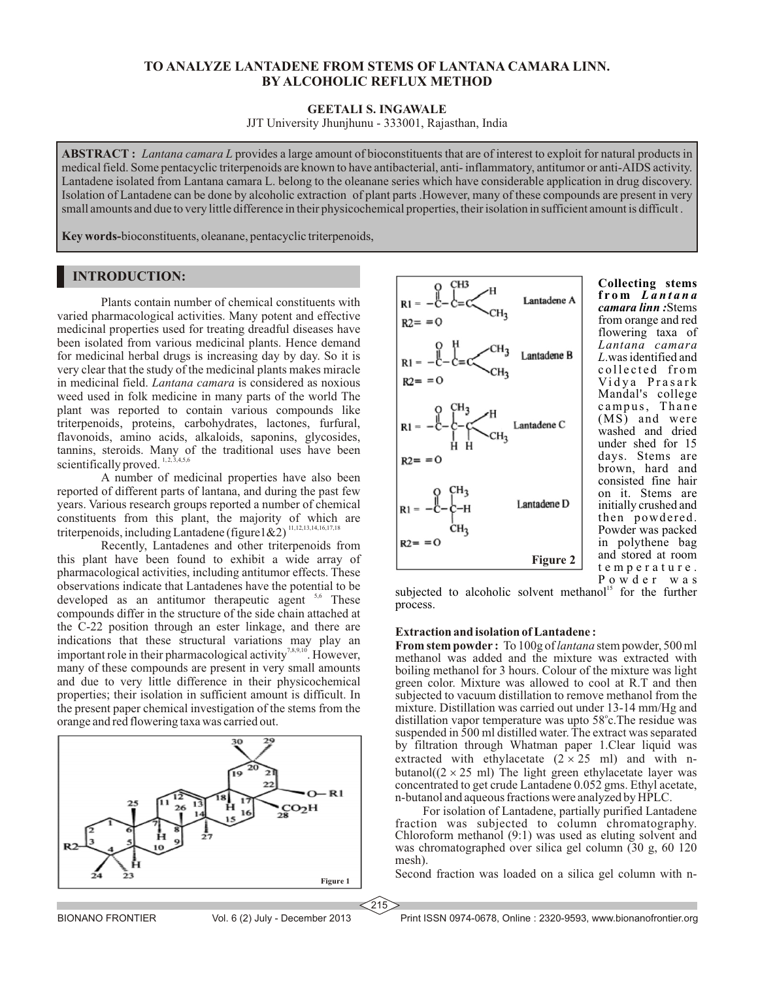## **TO ANALYZE LANTADENE FROM STEMS OF LANTANA CAMARA LINN. BY ALCOHOLIC REFLUX METHOD**

**GEETALI S. INGAWALE**

JJT University Jhunjhunu - 333001, Rajasthan, India

**ABSTRACT :** *Lantana camara L*provides a large amount of bioconstituents that are of interest to exploit for natural products in medical field. Some pentacyclic triterpenoids are known to have antibacterial, anti- inflammatory, antitumor or anti-AIDS activity. Lantadene isolated from Lantana camara L. belong to the oleanane series which have considerable application in drug discovery. Isolation of Lantadene can be done by alcoholic extraction of plant parts .However, many of these compounds are present in very small amounts and due to very little difference in their physicochemical properties, their isolation in sufficient amount is difficult .

**Key words-**bioconstituents, oleanane, pentacyclic triterpenoids,

Plants contain number of chemical constituents with varied pharmacological activities. Many potent and effective medicinal properties used for treating dreadful diseases have been isolated from various medicinal plants. Hence demand for medicinal herbal drugs is increasing day by day. So it is very clear that the study of the medicinal plants makes miracle in medicinal field. *Lantana camara* is considered as noxious weed used in folk medicine in many parts of the world The plant was reported to contain various compounds like triterpenoids, proteins, carbohydrates, lactones, furfural, flavonoids, amino acids, alkaloids, saponins, glycosides, tannins, steroids. Many of the traditional uses have been scientifically proved.  $1, 2, 3, 4, 5, 6$ 

A number of medicinal properties have also been reported of different parts of lantana, and during the past few years. Various research groups reported a number of chemical constituents from this plant, the majority of which are triterpenoids, including Lantadene (figure  $1& 2$ )<sup>11,12,13,14,16,17,18</sup>

Recently, Lantadenes and other triterpenoids from this plant have been found to exhibit a wide array of pharmacological activities, including antitumor effects. These observations indicate that Lantadenes have the potential to be developed as an antitumor therapeutic agent  $5.6$  These compounds differ in the structure of the side chain attached at the C-22 position through an ester linkage, and there are indications that these structural variations may play an important role in their pharmacological activity<sup>7,8,9,10</sup>. However, many of these compounds are present in very small amounts and due to very little difference in their physicochemical properties; their isolation in sufficient amount is difficult. In the present paper chemical investigation of the stems from the orange and red flowering taxa was carried out.





**f r o m** *L ant ana camara linn :*Stems from orange and red flowering taxa of *Lantana camara L*.was identified and collected from Vidya Prasark Mandal's college campus, Thane (MS) and were washed and dried under shed for 15 days. Stems are brown, hard and consisted fine hair on it. Stems are initially crushed and then powdered. Powder was packed in polythene bag and stored at room t e m p e r a t u r e . P o w d e r w a s

subjected to alcoholic solvent methanol<sup>15</sup> for the further process.

### **Extraction and isolation of Lantadene :**

**From stem powder :** To 100g of *lantana* stem powder, 500 ml methanol was added and the mixture was extracted with boiling methanol for 3 hours. Colour of the mixture was light green color. Mixture was allowed to cool at R.T and then subjected to vacuum distillation to remove methanol from the mixture. Distillation was carried out under 13-14 mm/Hg and distillation vapor temperature was upto 58°c. The residue was suspended in 500 ml distilled water. The extract was separated by filtration through Whatman paper 1.Clear liquid was extracted with ethylacetate  $(2 \times 25$  ml) and with nbutanol( $(2 \times 25 \text{ ml})$  The light green ethylacetate layer was concentrated to get crude Lantadene 0.052 gms. Ethyl acetate, n-butanol and aqueous fractions were analyzed by HPLC.

For isolation of Lantadene, partially purified Lantadene fraction was subjected to column chromatography. Chloroform methanol (9:1) was used as eluting solvent and was chromatographed over silica gel column (30 g, 60 120 mesh).

Second fraction was loaded on a silica gel column with n-

 $215$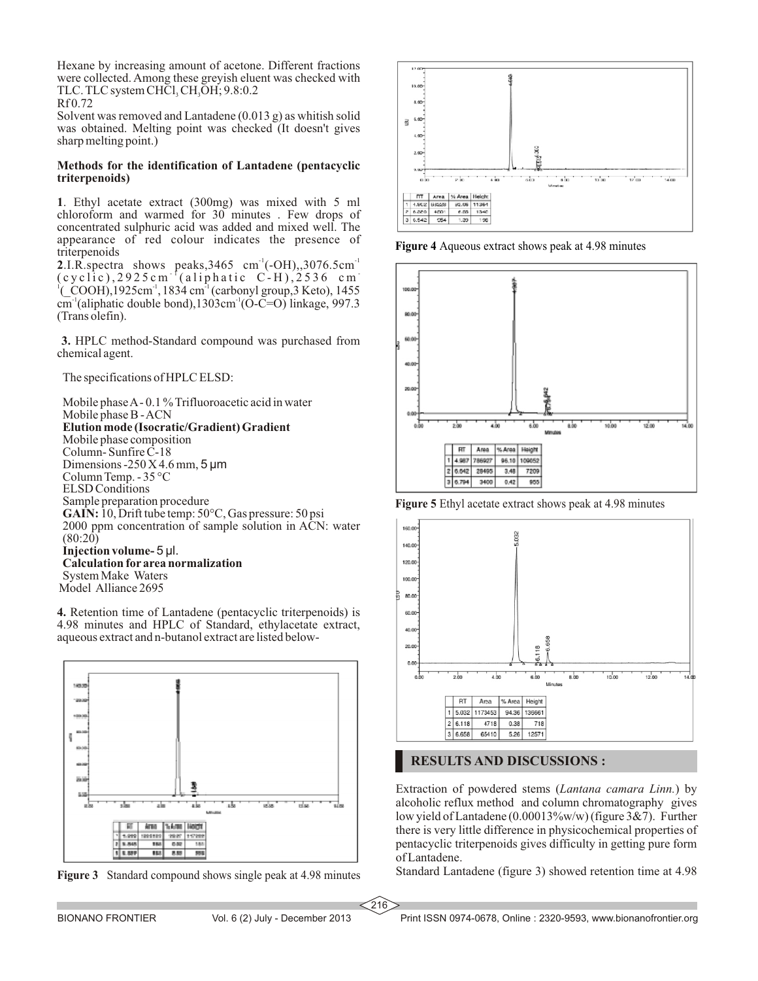Hexane by increasing amount of acetone. Different fractions were collected. Among these greyish eluent was checked with TLC. TLC system CHCl, CH<sub>3</sub>OH; 9.8:0.2 Rf 0.72

Solvent was removed and Lantadene (0.013 g) as whitish solid was obtained. Melting point was checked (It doesn't gives sharp melting point.)

## **Methods for the identification of Lantadene (pentacyclic triterpenoids)**

**1**. Ethyl acetate extract (300mg) was mixed with 5 ml chloroform and warmed for 30 minutes . Few drops of concentrated sulphuric acid was added and mixed well. The appearance of red colour indicates the presence of triterpenoids

2.I.R.spectra shows peaks,  $3465 \text{ cm}^{-1}$ ( $\cdot$ OH),  $3076.5 \text{ cm}^{-1}$  $(cyc 1i c)$ ,  $2925 cm^{-1}$  (a liphatic C - H),  $2536 cm^{-1}$ <br>  $(cOO 0H)$ ,  $1925 cm^{-1}$ ,  $1834 cm^{-1}$  (carbonyl group, 3 Keto), 1455  $cm^{-1}$ (aliphatic double bond),1303cm<sup>-1</sup>(O-C=O) linkage, 997.3 (Trans olefin).

**3.** HPLC method-Standard compound was purchased from chemical agent.

The specifications of HPLC ELSD:

Mobile phase A- 0.1 % Trifluoroacetic acid in water Mobile phase B - ACN **Elution mode (Isocratic/Gradient) Gradient** Mobile phase composition Column- Sunfire C-18 Dimensions  $-250$  X 4.6 mm, 5  $\mu$ m Column Temp. - 35 °C ELSD Conditions Sample preparation procedure **GAIN:** 10, Drift tube temp: 50°C, Gas pressure: 50 psi 2000 ppm concentration of sample solution in ACN: water (80:20) **Injection volume-**5 μl. **Calculation for area normalization** System Make Waters

Model Alliance 2695

**4.** Retention time of Lantadene (pentacyclic triterpenoids) is 4.98 minutes and HPLC of Standard, ethylacetate extract, aqueous extract and n-butanol extract are listed below-



**Figure 3** Standard compound shows single peak at 4.98 minutes



**Figure 4** Aqueous extract shows peak at 4.98 minutes



**Figure 5** Ethyl acetate extract shows peak at 4.98 minutes



# **RESULTS AND DISCUSSIONS :**

Extraction of powdered stems (*Lantana camara Linn.*) by alcoholic reflux method and column chromatography gives low yield of Lantadene (0.00013%w/w) (figure 3&7). Further there is very little difference in physicochemical properties of pentacyclic triterpenoids gives difficulty in getting pure form of Lantadene.

Standard Lantadene (figure 3) showed retention time at 4.98

216